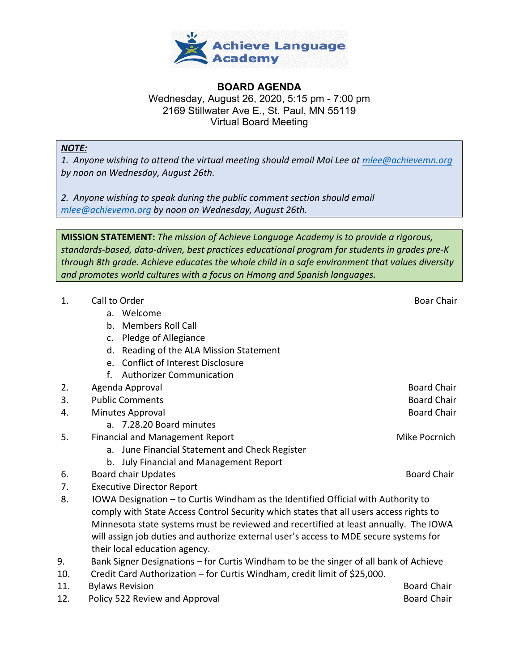

## **BOARD AGENDA** Wednesday, August 26, 2020, 5:15 pm - 7:00 pm 2169 Stillwater Ave E., St. Paul, MN 55119 Virtual Board Meeting

## *NOTE:*

*1. Anyone wishing to attend the virtual meeting should email Mai Lee at mlee@achievemn.org by noon on Wednesday, August 26th.*

*2. Anyone wishing to speak during the public comment section should email mlee@achievemn.org by noon on Wednesday, August 26th.*

**MISSION STATEMENT:** *The mission of Achieve Language Academy is to provide a rigorous, standards-based, data-driven, best practices educational program for students in grades pre-K through 8th grade. Achieve educates the whole child in a safe environment that values diversity and promotes world cultures with a focus on Hmong and Spanish languages.*

| 1.  | Call to Order                                                                          | <b>Boar Chair</b>  |
|-----|----------------------------------------------------------------------------------------|--------------------|
|     | a. Welcome                                                                             |                    |
|     | b. Members Roll Call                                                                   |                    |
|     | Pledge of Allegiance<br>c.                                                             |                    |
|     | d. Reading of the ALA Mission Statement                                                |                    |
|     | e. Conflict of Interest Disclosure                                                     |                    |
|     | <b>Authorizer Communication</b><br>$f_{\cdot}$                                         |                    |
| 2.  | Agenda Approval                                                                        | <b>Board Chair</b> |
| 3.  | <b>Public Comments</b>                                                                 | <b>Board Chair</b> |
| 4.  | Minutes Approval                                                                       | <b>Board Chair</b> |
|     | a. 7.28.20 Board minutes                                                               |                    |
| 5.  | Mike Pocrnich<br><b>Financial and Management Report</b>                                |                    |
|     | a. June Financial Statement and Check Register                                         |                    |
|     | b. July Financial and Management Report                                                |                    |
| 6.  | <b>Board chair Updates</b>                                                             | <b>Board Chair</b> |
| 7.  | <b>Executive Director Report</b>                                                       |                    |
| 8.  | IOWA Designation - to Curtis Windham as the Identified Official with Authority to      |                    |
|     | comply with State Access Control Security which states that all users access rights to |                    |
|     | Minnesota state systems must be reviewed and recertified at least annually. The IOWA   |                    |
|     | will assign job duties and authorize external user's access to MDE secure systems for  |                    |
|     | their local education agency.                                                          |                    |
| 9.  | Bank Signer Designations - for Curtis Windham to be the singer of all bank of Achieve  |                    |
| 10. | Credit Card Authorization – for Curtis Windham, credit limit of \$25,000.              |                    |
| 11. | <b>Bylaws Revision</b>                                                                 | <b>Board Chair</b> |
| 12. | Policy 522 Review and Approval                                                         | <b>Board Chair</b> |
|     |                                                                                        |                    |